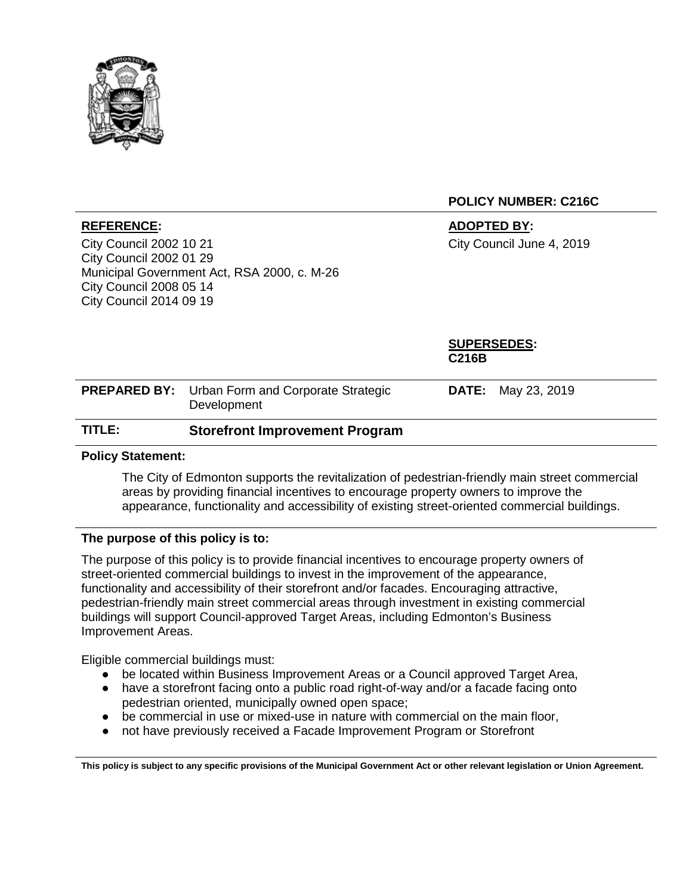

## **POLICY NUMBER: C216C**

City Council 2002 10 21 City Council 2002 01 29 Municipal Government Act, RSA 2000, c. M-26 City Council 2008 05 14 City Council 2014 09 19

**REFERENCE: ADOPTED BY:** City Council June 4, 2019

|        |                                                                       | <b>SUPERSEDES:</b><br><b>C216B</b> |
|--------|-----------------------------------------------------------------------|------------------------------------|
|        | <b>PREPARED BY:</b> Urban Form and Corporate Strategic<br>Development | <b>DATE:</b> May 23, 2019          |
| TITLE: | <b>Storefront Improvement Program</b>                                 |                                    |

## **Policy Statement:**

The City of Edmonton supports the revitalization of pedestrian-friendly main street commercial areas by providing financial incentives to encourage property owners to improve the appearance, functionality and accessibility of existing street-oriented commercial buildings.

## **The purpose of this policy is to:**

The purpose of this policy is to provide financial incentives to encourage property owners of street-oriented commercial buildings to invest in the improvement of the appearance, functionality and accessibility of their storefront and/or facades. Encouraging attractive, pedestrian-friendly main street commercial areas through investment in existing commercial buildings will support Council-approved Target Areas, including Edmonton's Business Improvement Areas.

Eligible commercial buildings must:

- be located within Business Improvement Areas or a Council approved Target Area,
- have a storefront facing onto a public road right-of-way and/or a facade facing onto pedestrian oriented, municipally owned open space;
- be commercial in use or mixed-use in nature with commercial on the main floor,
- not have previously received a Facade Improvement Program or Storefront

**This policy is subject to any specific provisions of the Municipal Government Act or other relevant legislation or Union Agreement.**